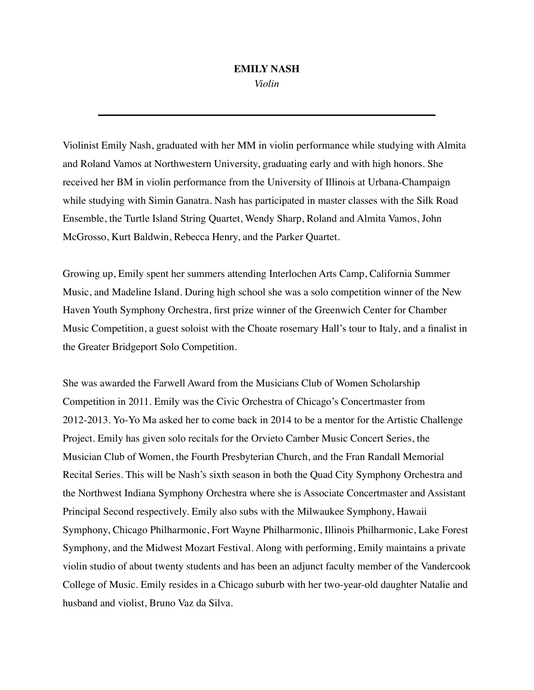## **EMILY NASH**

*Violin*

Violinist Emily Nash, graduated with her MM in violin performance while studying with Almita and Roland Vamos at Northwestern University, graduating early and with high honors. She received her BM in violin performance from the University of Illinois at Urbana-Champaign while studying with Simin Ganatra. Nash has participated in master classes with the Silk Road Ensemble, the Turtle Island String Quartet, Wendy Sharp, Roland and Almita Vamos, John McGrosso, Kurt Baldwin, Rebecca Henry, and the Parker Quartet.

Growing up, Emily spent her summers attending Interlochen Arts Camp, California Summer Music, and Madeline Island. During high school she was a solo competition winner of the New Haven Youth Symphony Orchestra, first prize winner of the Greenwich Center for Chamber Music Competition, a guest soloist with the Choate rosemary Hall's tour to Italy, and a finalist in the Greater Bridgeport Solo Competition.

She was awarded the Farwell Award from the Musicians Club of Women Scholarship Competition in 2011. Emily was the Civic Orchestra of Chicago's Concertmaster from 2012-2013. Yo-Yo Ma asked her to come back in 2014 to be a mentor for the Artistic Challenge Project. Emily has given solo recitals for the Orvieto Camber Music Concert Series, the Musician Club of Women, the Fourth Presbyterian Church, and the Fran Randall Memorial Recital Series. This will be Nash's sixth season in both the Quad City Symphony Orchestra and the Northwest Indiana Symphony Orchestra where she is Associate Concertmaster and Assistant Principal Second respectively. Emily also subs with the Milwaukee Symphony, Hawaii Symphony, Chicago Philharmonic, Fort Wayne Philharmonic, Illinois Philharmonic, Lake Forest Symphony, and the Midwest Mozart Festival. Along with performing, Emily maintains a private violin studio of about twenty students and has been an adjunct faculty member of the Vandercook College of Music. Emily resides in a Chicago suburb with her two-year-old daughter Natalie and husband and violist, Bruno Vaz da Silva.